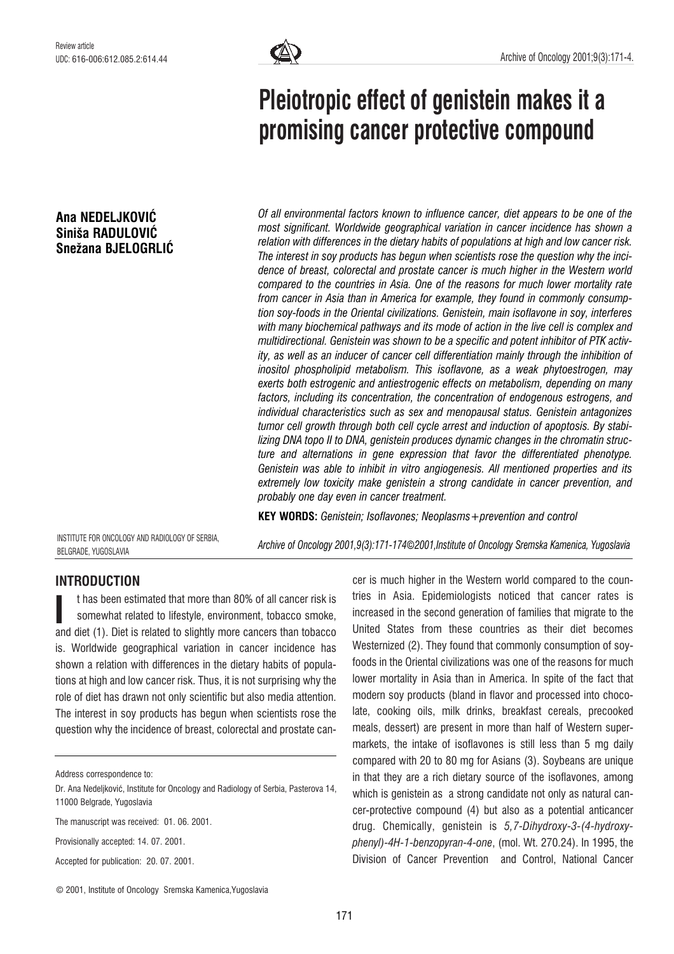## Ana NEDELJKOVIĆ Siniša RADULOVIĆ Snežana BJELOGRLIĆ



# Pleiotropic effect of genistein makes it a promising cancer protective compound

Of all environmental factors known to influence cancer, diet appears to be one of the most significant. Worldwide geographical variation in cancer incidence has shown a relation with differences in the dietary habits of populations at high and low cancer risk. The interest in soy products has begun when scientists rose the question why the incidence of breast, colorectal and prostate cancer is much higher in the Western world compared to the countries in Asia. One of the reasons for much lower mortality rate from cancer in Asia than in America for example, they found in commonly consumption soy-foods in the Oriental civilizations. Genistein, main isoflavone in soy, interferes with many biochemical pathways and its mode of action in the live cell is complex and multidirectional. Genistein was shown to be a specific and potent inhibitor of PTK activity, as well as an inducer of cancer cell differentiation mainly through the inhibition of inositol phospholipid metabolism. This isoflavone, as a weak phytoestrogen, may exerts both estrogenic and antiestrogenic effects on metabolism, depending on many factors, including its concentration, the concentration of endogenous estrogens, and individual characteristics such as sex and menopausal status. Genistein antagonizes tumor cell growth through both cell cycle arrest and induction of apoptosis. By stabilizing DNA topo II to DNA, genistein produces dynamic changes in the chromatin structure and alternations in gene expression that favor the differentiated phenotype. Genistein was able to inhibit in vitro angiogenesis. All mentioned properties and its extremely low toxicity make genistein a strong candidate in cancer prevention, and probably one day even in cancer treatment.

KEY WORDS: Genistein; Isoflavones; Neoplasms+prevention and control

INSTITUTE FOR ONCOLOGY AND RADIOLOGY OF SERBIA, BELGRADE, YUGOSLAVIA

Archive of Oncology 2001,9(3):171-174*©*2001,Institute of Oncology Sremska Kamenica, Yugoslavia

# INTRODUCTION

t has been estimated that more than 80% of all cancer risk is somewhat related to lifestyle, environment, tobacco smoke, t has been estimated that more than 80% of all cancer risk is<br>somewhat related to lifestyle, environment, tobacco smoke,<br>and diet (1). Diet is related to slightly more cancers than tobacco is. Worldwide geographical variation in cancer incidence has shown a relation with differences in the dietary habits of populations at high and low cancer risk. Thus, it is not surprising why the role of diet has drawn not only scientific but also media attention. The interest in soy products has begun when scientists rose the question why the incidence of breast, colorectal and prostate can-

Address correspondence to:

Provisionally accepted: 14. 07. 2001.

Accepted for publication: 20. 07. 2001.

cer is much higher in the Western world compared to the countries in Asia. Epidemiologists noticed that cancer rates is increased in the second generation of families that migrate to the United States from these countries as their diet becomes Westernized (2). They found that commonly consumption of soyfoods in the Oriental civilizations was one of the reasons for much lower mortality in Asia than in America. In spite of the fact that modern soy products (bland in flavor and processed into chocolate, cooking oils, milk drinks, breakfast cereals, precooked meals, dessert) are present in more than half of Western supermarkets, the intake of isoflavones is still less than 5 mg daily compared with 20 to 80 mg for Asians (3). Soybeans are unique in that they are a rich dietary source of the isoflavones, among which is genistein as a strong candidate not only as natural cancer-protective compound (4) but also as a potential anticancer drug. Chemically, genistein is 5,7-Dihydroxy-3-(4-hydroxyphenyl)-4H-1-benzopyran-4-one, (mol. Wt. 270.24). In 1995, the Division of Cancer Prevention and Control, National Cancer

Dr. Ana Nedeljković, Institute for Oncology and Radiology of Serbia, Pasterova 14, 11000 Belgrade, Yugoslavia

The manuscript was received: 01. 06. 2001.

<sup>©</sup> 2001, Institute of Oncology Sremska Kamenica,Yugoslavia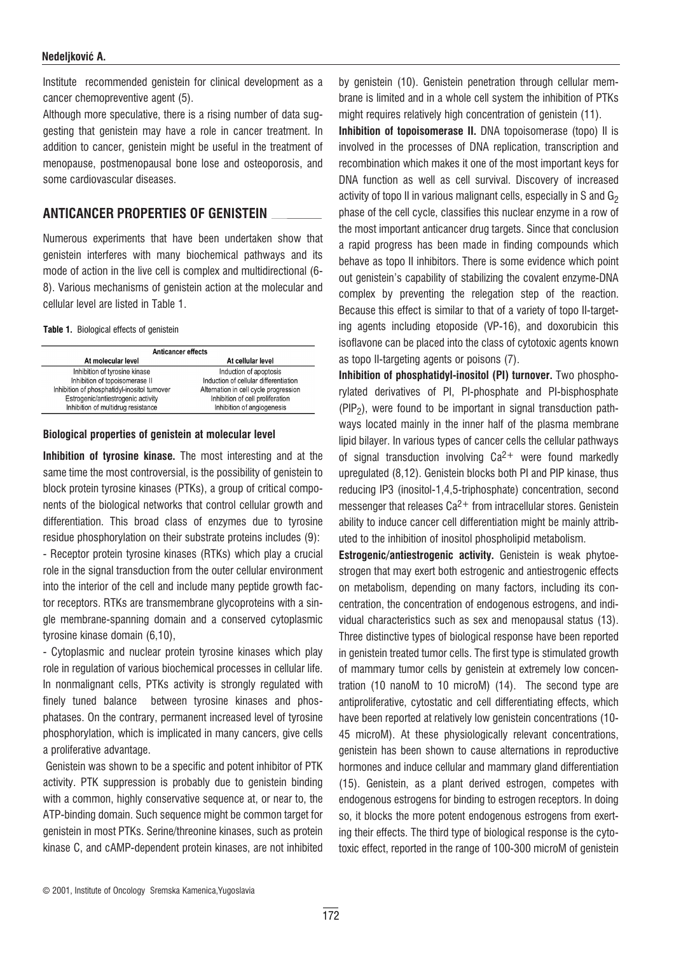#### Nedeljković A.

Institute recommended genistein for clinical development as a cancer chemopreventive agent (5).

Although more speculative, there is a rising number of data suggesting that genistein may have a role in cancer treatment. In addition to cancer, genistein might be useful in the treatment of menopause, postmenopausal bone lose and osteoporosis, and some cardiovascular diseases.

## ANTICANCER PROPERTIES OF GENISTEIN

Numerous experiments that have been undertaken show that genistein interferes with many biochemical pathways and its mode of action in the live cell is complex and multidirectional (6- 8). Various mechanisms of genistein action at the molecular and cellular level are listed in Table 1.

#### Table 1. Biological effects of genistein

| <b>Anticancer effects</b>                    |                                       |
|----------------------------------------------|---------------------------------------|
| At molecular level                           | At cellular level                     |
| Inhibition of tyrosine kinase                | Induction of apoptosis                |
| Inhibition of topoisomerase II               | Induction of cellular differentiation |
| Inhibition of phosphatidyl-inositol turnover | Alternation in cell cycle progression |
| Estrogenic/antiestrogenic activity           | Inhibition of cell proliferation      |
| Inhibition of multidrug resistance           | Inhibition of angiogenesis            |

#### Biological properties of genistein at molecular level

Inhibition of tyrosine kinase. The most interesting and at the same time the most controversial, is the possibility of genistein to block protein tyrosine kinases (PTKs), a group of critical components of the biological networks that control cellular growth and differentiation. This broad class of enzymes due to tyrosine residue phosphorylation on their substrate proteins includes (9): - Receptor protein tyrosine kinases (RTKs) which play a crucial role in the signal transduction from the outer cellular environment into the interior of the cell and include many peptide growth factor receptors. RTKs are transmembrane glycoproteins with a single membrane-spanning domain and a conserved cytoplasmic tyrosine kinase domain (6,10),

- Cytoplasmic and nuclear protein tyrosine kinases which play role in regulation of various biochemical processes in cellular life. In nonmalignant cells, PTKs activity is strongly regulated with finely tuned balance between tyrosine kinases and phosphatases. On the contrary, permanent increased level of tyrosine phosphorylation, which is implicated in many cancers, give cells a proliferative advantage.

Genistein was shown to be a specific and potent inhibitor of PTK activity. PTK suppression is probably due to genistein binding with a common, highly conservative sequence at, or near to, the ATP-binding domain. Such sequence might be common target for genistein in most PTKs. Serine/threonine kinases, such as protein kinase C, and cAMP-dependent protein kinases, are not inhibited

by genistein (10). Genistein penetration through cellular membrane is limited and in a whole cell system the inhibition of PTKs might requires relatively high concentration of genistein (11).

Inhibition of topoisomerase II. DNA topoisomerase (topo) Il is involved in the processes of DNA replication, transcription and recombination which makes it one of the most important keys for DNA function as well as cell survival. Discovery of increased activity of topo II in various malignant cells, especially in S and  $G_2$ phase of the cell cycle, classifies this nuclear enzyme in a row of the most important anticancer drug targets. Since that conclusion a rapid progress has been made in finding compounds which behave as topo II inhibitors. There is some evidence which point out genistein's capability of stabilizing the covalent enzyme-DNA complex by preventing the relegation step of the reaction. Because this effect is similar to that of a variety of topo II-targeting agents including etoposide (VP-16), and doxorubicin this isoflavone can be placed into the class of cytotoxic agents known as topo II-targeting agents or poisons (7).

Inhibition of phosphatidyl-inositol (PI) turnover. Two phosphorylated derivatives of PI, PI-phosphate and PI-bisphosphate  $(PIP<sub>2</sub>)$ , were found to be important in signal transduction pathways located mainly in the inner half of the plasma membrane lipid bilayer. In various types of cancer cells the cellular pathways of signal transduction involving  $Ca^{2+}$  were found markedly upregulated (8,12). Genistein blocks both PI and PIP kinase, thus reducing IP3 (inositol-1,4,5-triphosphate) concentration, second messenger that releases  $Ca^{2+}$  from intracellular stores. Genistein ability to induce cancer cell differentiation might be mainly attributed to the inhibition of inositol phospholipid metabolism.

Estrogenic/antiestrogenic activity. Genistein is weak phytoestrogen that may exert both estrogenic and antiestrogenic effects on metabolism, depending on many factors, including its concentration, the concentration of endogenous estrogens, and individual characteristics such as sex and menopausal status (13). Three distinctive types of biological response have been reported in genistein treated tumor cells. The first type is stimulated growth of mammary tumor cells by genistein at extremely low concentration (10 nanoM to 10 microM) (14). The second type are antiproliferative, cytostatic and cell differentiating effects, which have been reported at relatively low genistein concentrations (10- 45 microM). At these physiologically relevant concentrations, genistein has been shown to cause alternations in reproductive hormones and induce cellular and mammary gland differentiation (15). Genistein, as a plant derived estrogen, competes with endogenous estrogens for binding to estrogen receptors. In doing so, it blocks the more potent endogenous estrogens from exerting their effects. The third type of biological response is the cytotoxic effect, reported in the range of 100-300 microM of genistein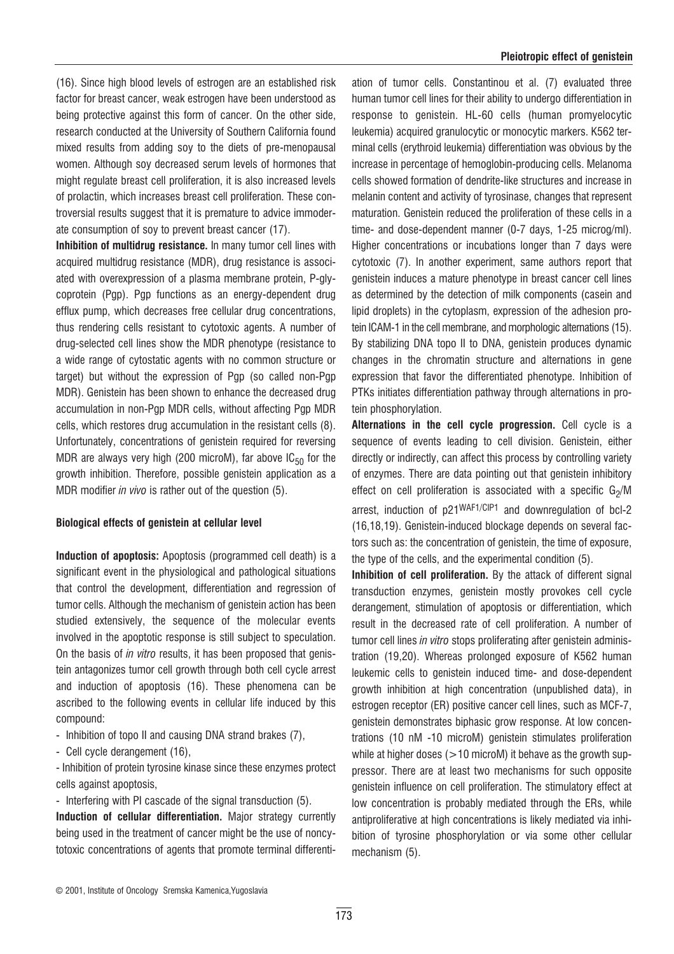(16). Since high blood levels of estrogen are an established risk factor for breast cancer, weak estrogen have been understood as being protective against this form of cancer. On the other side, research conducted at the University of Southern California found mixed results from adding soy to the diets of pre-menopausal women. Although soy decreased serum levels of hormones that might regulate breast cell proliferation, it is also increased levels of prolactin, which increases breast cell proliferation. These controversial results suggest that it is premature to advice immoderate consumption of soy to prevent breast cancer (17).

Inhibition of multidrug resistance. In many tumor cell lines with acquired multidrug resistance (MDR), drug resistance is associated with overexpression of a plasma membrane protein, P-glycoprotein (Pgp). Pgp functions as an energy-dependent drug efflux pump, which decreases free cellular drug concentrations, thus rendering cells resistant to cytotoxic agents. A number of drug-selected cell lines show the MDR phenotype (resistance to a wide range of cytostatic agents with no common structure or target) but without the expression of Pgp (so called non-Pgp MDR). Genistein has been shown to enhance the decreased drug accumulation in non-Pgp MDR cells, without affecting Pgp MDR cells, which restores drug accumulation in the resistant cells (8). Unfortunately, concentrations of genistein required for reversing MDR are always very high (200 microM), far above  $IC_{50}$  for the growth inhibition. Therefore, possible genistein application as a MDR modifier *in vivo* is rather out of the question (5).

#### Biological effects of genistein at cellular level

Induction of apoptosis: Apoptosis (programmed cell death) is a significant event in the physiological and pathological situations that control the development, differentiation and regression of tumor cells. Although the mechanism of genistein action has been studied extensively, the sequence of the molecular events involved in the apoptotic response is still subject to speculation. On the basis of in vitro results, it has been proposed that genistein antagonizes tumor cell growth through both cell cycle arrest and induction of apoptosis (16). These phenomena can be ascribed to the following events in cellular life induced by this compound:

- Inhibition of topo II and causing DNA strand brakes (7),
- Cell cycle derangement (16),

- Inhibition of protein tyrosine kinase since these enzymes protect cells against apoptosis,

- Interfering with PI cascade of the signal transduction (5).

Induction of cellular differentiation. Major strategy currently being used in the treatment of cancer might be the use of noncytotoxic concentrations of agents that promote terminal differenti-

ation of tumor cells. Constantinou et al. (7) evaluated three human tumor cell lines for their ability to undergo differentiation in response to genistein. HL-60 cells (human promyelocytic leukemia) acquired granulocytic or monocytic markers. K562 terminal cells (erythroid leukemia) differentiation was obvious by the increase in percentage of hemoglobin-producing cells. Melanoma cells showed formation of dendrite-like structures and increase in melanin content and activity of tyrosinase, changes that represent maturation. Genistein reduced the proliferation of these cells in a time- and dose-dependent manner (0-7 days, 1-25 microg/ml). Higher concentrations or incubations longer than 7 days were cytotoxic (7). In another experiment, same authors report that genistein induces a mature phenotype in breast cancer cell lines as determined by the detection of milk components (casein and lipid droplets) in the cytoplasm, expression of the adhesion protein ICAM-1 in the cell membrane, and morphologic alternations (15). By stabilizing DNA topo II to DNA, genistein produces dynamic changes in the chromatin structure and alternations in gene expression that favor the differentiated phenotype. Inhibition of PTKs initiates differentiation pathway through alternations in protein phosphorylation.

Alternations in the cell cycle progression. Cell cycle is a sequence of events leading to cell division. Genistein, either directly or indirectly, can affect this process by controlling variety of enzymes. There are data pointing out that genistein inhibitory effect on cell proliferation is associated with a specific  $G_2/M$ arrest, induction of p21WAF1/CIP1 and downregulation of bcl-2 (16,18,19). Genistein-induced blockage depends on several factors such as: the concentration of genistein, the time of exposure, the type of the cells, and the experimental condition (5).

Inhibition of cell proliferation. By the attack of different signal transduction enzymes, genistein mostly provokes cell cycle derangement, stimulation of apoptosis or differentiation, which result in the decreased rate of cell proliferation. A number of tumor cell lines in vitro stops proliferating after genistein administration (19,20). Whereas prolonged exposure of K562 human leukemic cells to genistein induced time- and dose-dependent growth inhibition at high concentration (unpublished data), in estrogen receptor (ER) positive cancer cell lines, such as MCF-7, genistein demonstrates biphasic grow response. At low concentrations (10 nM -10 microM) genistein stimulates proliferation while at higher doses  $(>10$  microM) it behave as the growth suppressor. There are at least two mechanisms for such opposite genistein influence on cell proliferation. The stimulatory effect at low concentration is probably mediated through the ERs, while antiproliferative at high concentrations is likely mediated via inhibition of tyrosine phosphorylation or via some other cellular mechanism (5).